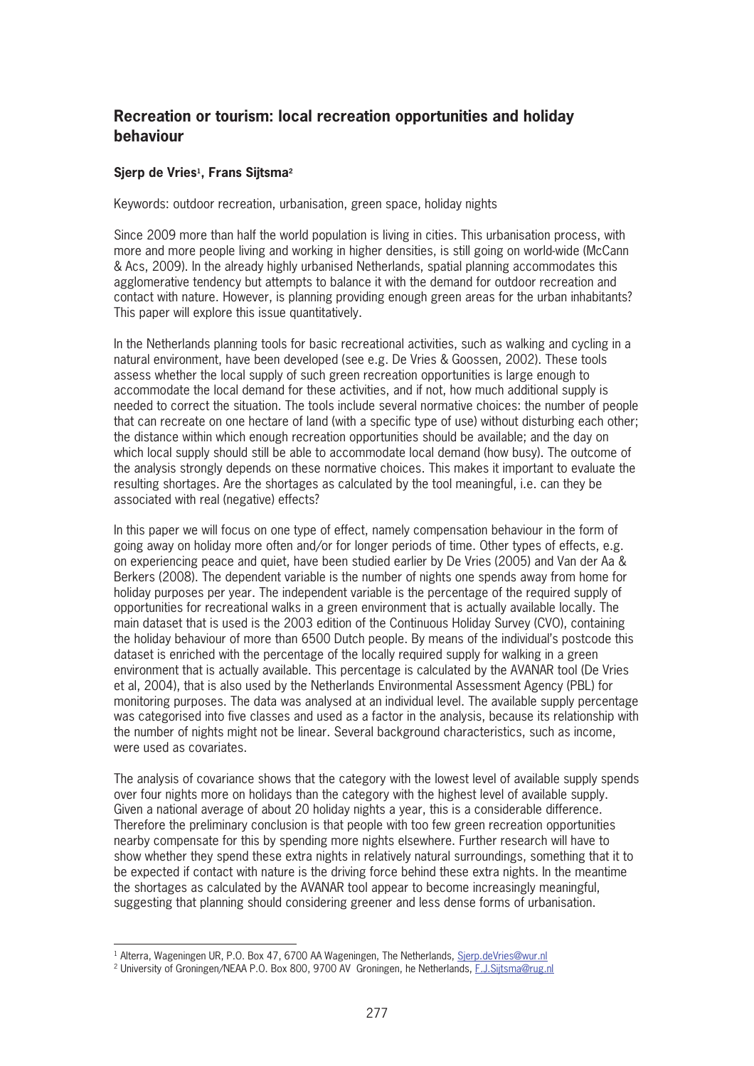## Recreation or tourism: local recreation opportunities and holiday hehaviour

## Sjerp de Vries<sup>1</sup>, Frans Sijtsma<sup>2</sup>

Keywords: outdoor recreation, urbanisation, green space, holiday nights

Since 2009 more than half the world population is living in cities. This urbanisation process, with more and more people living and working in higher densities, is still going on world-wide (McCann & Acs, 2009). In the already highly urbanised Netherlands, spatial planning accommodates this agglomerative tendency but attempts to balance it with the demand for outdoor recreation and contact with nature. However, is planning providing enough green areas for the urban inhabitants? This paper will explore this issue quantitatively.

In the Netherlands planning tools for basic recreational activities, such as walking and cycling in a natural environment, have been developed (see e.g. De Vries & Goossen, 2002). These tools assess whether the local supply of such green recreation opportunities is large enough to accommodate the local demand for these activities, and if not, how much additional supply is needed to correct the situation. The tools include several normative choices: the number of people that can recreate on one hectare of land (with a specific type of use) without disturbing each other; the distance within which enough recreation opportunities should be available; and the day on which local supply should still be able to accommodate local demand (how busy). The outcome of the analysis strongly depends on these normative choices. This makes it important to evaluate the resulting shortages. Are the shortages as calculated by the tool meaningful, i.e. can they be associated with real (negative) effects?

In this paper we will focus on one type of effect, namely compensation behaviour in the form of going away on holiday more often and/or for longer periods of time. Other types of effects, e.g. on experiencing peace and quiet, have been studied earlier by De Vries (2005) and Van der Aa & Berkers (2008). The dependent variable is the number of nights one spends away from home for holiday purposes per year. The independent variable is the percentage of the required supply of opportunities for recreational walks in a green environment that is actually available locally. The main dataset that is used is the 2003 edition of the Continuous Holiday Survey (CVO), containing the holiday behaviour of more than 6500 Dutch people. By means of the individual's postcode this dataset is enriched with the percentage of the locally required supply for walking in a green environment that is actually available. This percentage is calculated by the AVANAR tool (De Vries et al. 2004), that is also used by the Netherlands Environmental Assessment Agency (PBL) for monitoring purposes. The data was analysed at an individual level. The available supply percentage was categorised into five classes and used as a factor in the analysis, because its relationship with the number of nights might not be linear. Several background characteristics, such as income, were used as covariates.

The analysis of covariance shows that the category with the lowest level of available supply spends over four nights more on holidays than the category with the highest level of available supply. Given a national average of about 20 holiday nights a year, this is a considerable difference. Therefore the preliminary conclusion is that people with too few green recreation opportunities nearby compensate for this by spending more nights elsewhere. Further research will have to show whether they spend these extra nights in relatively natural surroundings, something that it to be expected if contact with nature is the driving force behind these extra nights. In the meantime the shortages as calculated by the AVANAR tool appear to become increasingly meaningful, suggesting that planning should considering greener and less dense forms of urbanisation.

<sup>&</sup>lt;sup>1</sup> Alterra, Wageningen UR, P.O. Box 47, 6700 AA Wageningen, The Netherlands, Sierp.deVries@wur.nl

<sup>&</sup>lt;sup>2</sup> University of Groningen/NEAA P.O. Box 800, 9700 AV Groningen, he Netherlands, F.J.Sijtsma@rug.nl